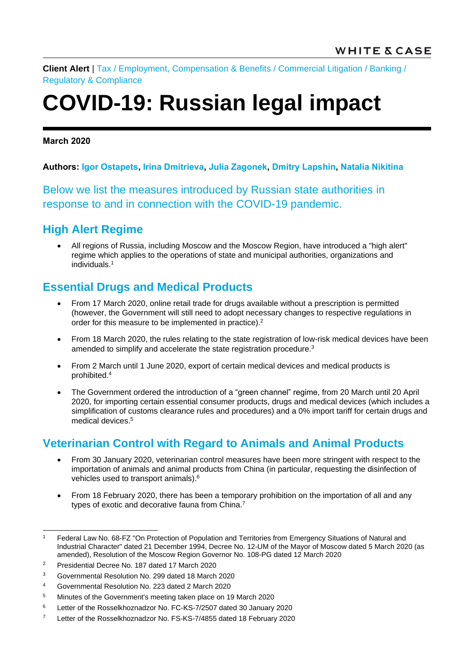**Client Alert** | [Tax](https://www.whitecase.com/law/practices/tax) / [Employment, Compensation & Benefits](https://www.whitecase.com/law/practices/employment-compensation-benefits) / [Commercial Litigation](https://www.whitecase.com/law/practices/commercial-litigation) / [Banking](https://www.whitecase.com/law/practices/banking) / [Regulatory & Compliance](https://www.whitecase.com/law/practices/regulatory-compliance)

# **COVID-19: Russian legal impact**

**March 2020**

#### **Authors: [Igor Ostapets,](https://www.whitecase.com/people/igor-ostapets) [Irina Dmitrieva,](https://www.whitecase.com/people/irina-dmitrieva) [Julia Zagonek,](https://www.whitecase.com/people/julia-zagonek) [Dmitry Lapshin,](https://www.whitecase.com/people/dmitry-lapshin) [Natalia Nikitina](https://www.whitecase.com/people/natalia-nikitina)**

Below we list the measures introduced by Russian state authorities in response to and in connection with the COVID-19 pandemic.

### **High Alert Regime**

 All regions of Russia, including Moscow and the Moscow Region, have introduced a "high alert" regime which applies to the operations of state and municipal authorities, organizations and individuals. 1

# **Essential Drugs and Medical Products**

- From 17 March 2020, online retail trade for drugs available without a prescription is permitted (however, the Government will still need to adopt necessary changes to respective regulations in order for this measure to be implemented in practice).<sup>2</sup>
- From 18 March 2020, the rules relating to the state registration of low-risk medical devices have been amended to simplify and accelerate the state registration procedure.<sup>3</sup>
- From 2 March until 1 June 2020, export of certain medical devices and medical products is prohibited. 4
- The Government ordered the introduction of a "green channel" regime, from 20 March until 20 April 2020, for importing certain essential consumer products, drugs and medical devices (which includes a simplification of customs clearance rules and procedures) and a 0% import tariff for certain drugs and medical devices. 5

## **Veterinarian Control with Regard to Animals and Animal Products**

- From 30 January 2020, veterinarian control measures have been more stringent with respect to the importation of animals and animal products from China (in particular, requesting the disinfection of vehicles used to transport animals).<sup>6</sup>
- From 18 February 2020, there has been a temporary prohibition on the importation of all and any types of exotic and decorative fauna from China.<sup>7</sup>

 $\overline{1}$ <sup>1</sup> Federal Law No. 68-FZ "On Protection of Population and Territories from Emergency Situations of Natural and Industrial Character" dated 21 December 1994, Decree No. 12-UM of the Mayor of Moscow dated 5 March 2020 (as amended), Resolution of the Moscow Region Governor No. 108-PG dated 12 March 2020

<sup>2</sup> Presidential Decree No. 187 dated 17 March 2020

<sup>3</sup> Governmental Resolution No. 299 dated 18 March 2020

<sup>4</sup> Governmental Resolution No. 223 dated 2 March 2020

<sup>5</sup> Minutes of the Government's meeting taken place on 19 March 2020

<sup>6</sup> Letter of the Rosselkhoznadzor No. FC-KS-7/2507 dated 30 January 2020

<sup>&</sup>lt;sup>7</sup> Letter of the Rosselkhoznadzor No. FS-KS-7/4855 dated 18 February 2020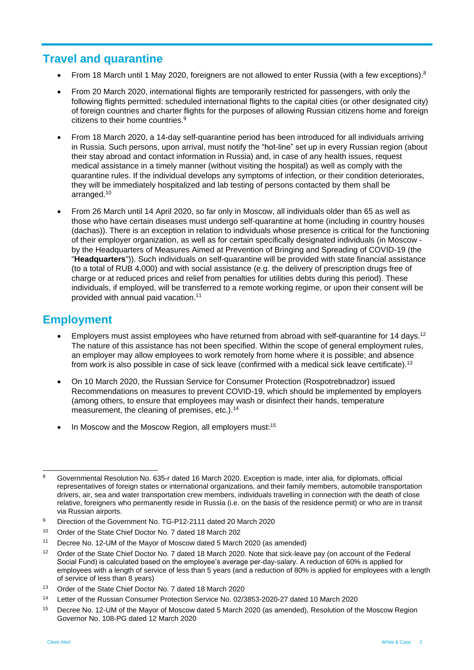#### **Travel and quarantine**

- From 18 March until 1 May 2020, foreigners are not allowed to enter Russia (with a few exceptions).<sup>8</sup>
- From 20 March 2020, international flights are temporarily restricted for passengers, with only the following flights permitted: scheduled international flights to the capital cities (or other designated city) of foreign countries and charter flights for the purposes of allowing Russian citizens home and foreign citizens to their home countries.<sup>9</sup>
- From 18 March 2020, a 14-day self-quarantine period has been introduced for all individuals arriving in Russia. Such persons, upon arrival, must notify the "hot-line" set up in every Russian region (about their stay abroad and contact information in Russia) and, in case of any health issues, request medical assistance in a timely manner (without visiting the hospital) as well as comply with the quarantine rules. If the individual develops any symptoms of infection, or their condition deteriorates, they will be immediately hospitalized and lab testing of persons contacted by them shall be arranged.<sup>10</sup>
- From 26 March until 14 April 2020, so far only in Moscow, all individuals older than 65 as well as those who have certain diseases must undergo self-quarantine at home (including in country houses (dachas)). There is an exception in relation to individuals whose presence is critical for the functioning of their employer organization, as well as for certain specifically designated individuals (in Moscow by the Headquarters of Measures Aimed at Prevention of Bringing and Spreading of COVID-19 (the "**Headquarters**")). Such individuals on self-quarantine will be provided with state financial assistance (to a total of RUB 4,000) and with social assistance (e.g. the delivery of prescription drugs free of charge or at reduced prices and relief from penalties for utilities debts during this period). These individuals, if employed, will be transferred to a remote working regime, or upon their consent will be provided with annual paid vacation. 11

#### **Employment**

- Employers must assist employees who have returned from abroad with self-quarantine for 14 days.<sup>12</sup> The nature of this assistance has not been specified. Within the scope of general employment rules, an employer may allow employees to work remotely from home where it is possible; and absence from work is also possible in case of sick leave (confirmed with a medical sick leave certificate).<sup>13</sup>
- On 10 March 2020, the Russian Service for Consumer Protection (Rospotrebnadzor) issued Recommendations on measures to prevent COVID-19, which should be implemented by employers (among others, to ensure that employees may wash or disinfect their hands, temperature measurement, the cleaning of premises, etc.).<sup>14</sup>
- In Moscow and the Moscow Region, all employers must:<sup>15</sup>

- 9 Direction of the Government No. TG-P12-2111 dated 20 March 2020
- <sup>10</sup> Order of the State Chief Doctor No. 7 dated 18 March 202
- <sup>11</sup> Decree No. 12-UM of the Mayor of Moscow dated 5 March 2020 (as amended)
- <sup>12</sup> Order of the State Chief Doctor No. 7 dated 18 March 2020. Note that sick-leave pay (on account of the Federal Social Fund) is calculated based on the employee's average per-day-salary. A reduction of 60% is applied for employees with a length of service of less than 5 years (and a reduction of 80% is applied for employees with a length of service of less than 8 years)

<sup>14</sup> Letter of the Russian Consumer Protection Service No. 02/3853-2020-27 dated 10 March 2020

l <sup>8</sup> Governmental Resolution No. 635-r dated 16 March 2020. Exception is made, inter alia, for diplomats, official representatives of foreign states or international organizations, and their family members, automobile transportation drivers, air, sea and water transportation crew members, individuals travelling in connection with the death of close relative, foreigners who permanently reside in Russia (i.e. on the basis of the residence permit) or who are in transit via Russian airports.

<sup>13</sup> Order of the State Chief Doctor No. 7 dated 18 March 2020

<sup>15</sup> Decree No. 12-UM of the Mayor of Moscow dated 5 March 2020 (as amended), Resolution of the Moscow Region Governor No. 108-PG dated 12 March 2020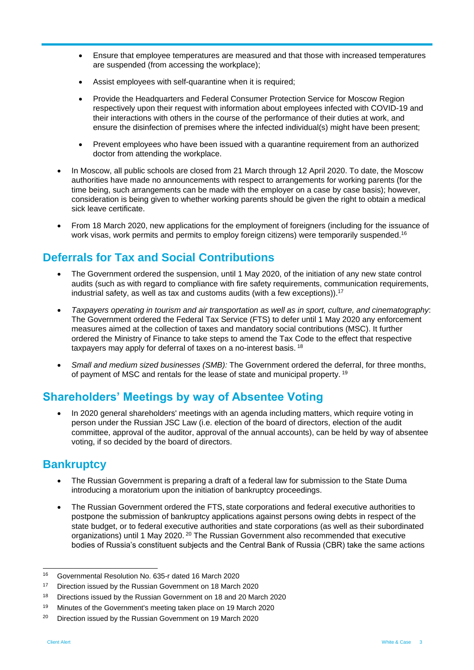- Ensure that employee temperatures are measured and that those with increased temperatures are suspended (from accessing the workplace);
- Assist employees with self-quarantine when it is required;
- Provide the Headquarters and Federal Consumer Protection Service for Moscow Region respectively upon their request with information about employees infected with COVID-19 and their interactions with others in the course of the performance of their duties at work, and ensure the disinfection of premises where the infected individual(s) might have been present;
- Prevent employees who have been issued with a quarantine requirement from an authorized doctor from attending the workplace.
- In Moscow, all public schools are closed from 21 March through 12 April 2020. To date, the Moscow authorities have made no announcements with respect to arrangements for working parents (for the time being, such arrangements can be made with the employer on a case by case basis); however, consideration is being given to whether working parents should be given the right to obtain a medical sick leave certificate.
- From 18 March 2020, new applications for the employment of foreigners (including for the issuance of work visas, work permits and permits to employ foreign citizens) were temporarily suspended.<sup>16</sup>

### **Deferrals for Tax and Social Contributions**

- The Government ordered the suspension, until 1 May 2020, of the initiation of any new state control audits (such as with regard to compliance with fire safety requirements, communication requirements, industrial safety, as well as tax and customs audits (with a few exceptions)). 17
- *Taxpayers operating in tourism and air transportation as well as in sport, culture, and cinematography*: The Government ordered the Federal Tax Service (FTS) to defer until 1 May 2020 any enforcement measures aimed at the collection of taxes and mandatory social contributions (MSC). It further ordered the Ministry of Finance to take steps to amend the Tax Code to the effect that respective taxpayers may apply for deferral of taxes on a no-interest basis. <sup>18</sup>
- *Small and medium sized businesses (SMB):* The Government ordered the deferral, for three months, of payment of MSC and rentals for the lease of state and municipal property. <sup>19</sup>

### **Shareholders' Meetings by way of Absentee Voting**

 In 2020 general shareholders' meetings with an agenda including matters, which require voting in person under the Russian JSC Law (i.e. election of the board of directors, election of the audit committee, approval of the auditor, approval of the annual accounts), can be held by way of absentee voting, if so decided by the board of directors.

### **Bankruptcy**

- The Russian Government is preparing a draft of a federal law for submission to the State Duma introducing a moratorium upon the initiation of bankruptcy proceedings.
- The Russian Government ordered the FTS, state corporations and federal executive authorities to postpone the submission of bankruptcy applications against persons owing debts in respect of the state budget, or to federal executive authorities and state corporations (as well as their subordinated organizations) until 1 May 2020. <sup>20</sup> The Russian Government also recommended that executive bodies of Russia's constituent subjects and the Central Bank of Russia (CBR) take the same actions

l <sup>16</sup> Governmental Resolution No. 635-r dated 16 March 2020

<sup>&</sup>lt;sup>17</sup> Direction issued by the Russian Government on 18 March 2020

<sup>&</sup>lt;sup>18</sup> Directions issued by the Russian Government on 18 and 20 March 2020

<sup>&</sup>lt;sup>19</sup> Minutes of the Government's meeting taken place on 19 March 2020

<sup>&</sup>lt;sup>20</sup> Direction issued by the Russian Government on 19 March 2020